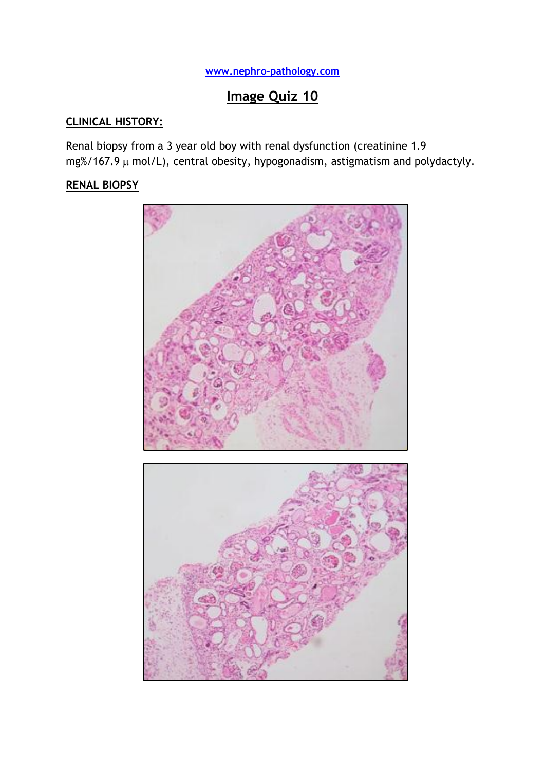# **[www.nephro-pathology.com](http://www.nephro-pathology.com/)**

# **Image Quiz 10**

# **CLINICAL HISTORY:**

Renal biopsy from a 3 year old boy with renal dysfunction (creatinine 1.9  $mg\%$ /167.9  $\mu$  mol/L), central obesity, hypogonadism, astigmatism and polydactyly.

## **RENAL BIOPSY**

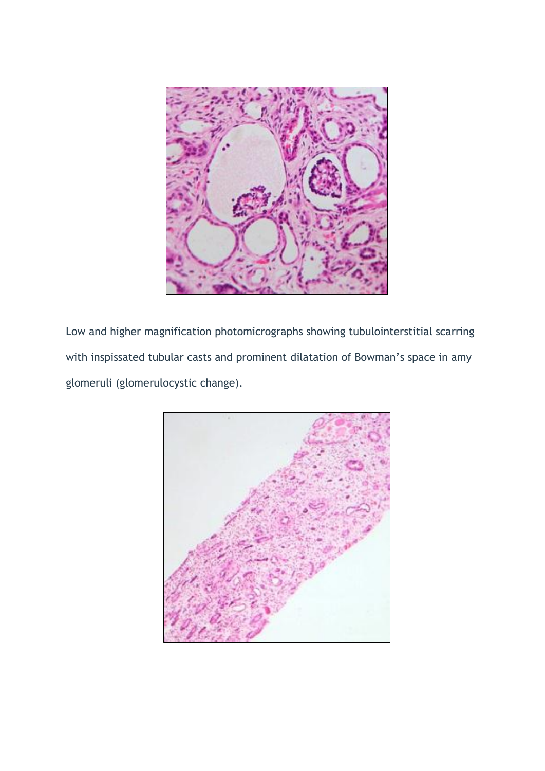

Low and higher magnification photomicrographs showing tubulointerstitial scarring with inspissated tubular casts and prominent dilatation of Bowman's space in amy glomeruli (glomerulocystic change).

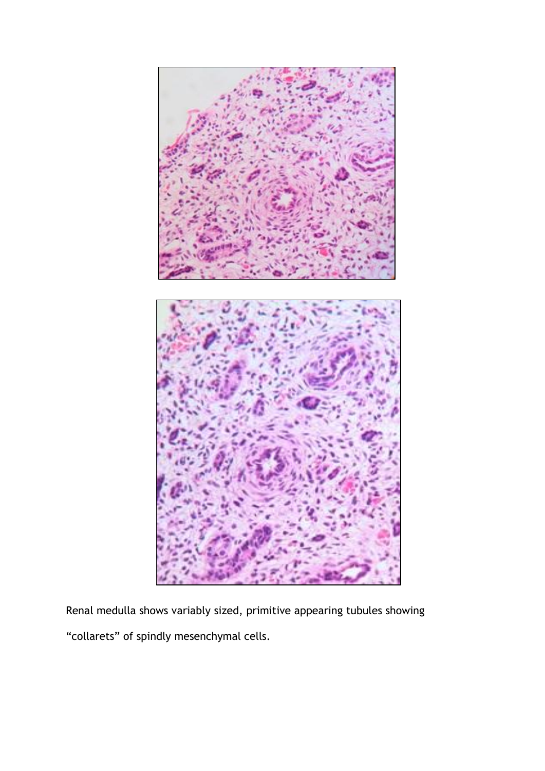

Renal medulla shows variably sized, primitive appearing tubules showing "collarets" of spindly mesenchymal cells.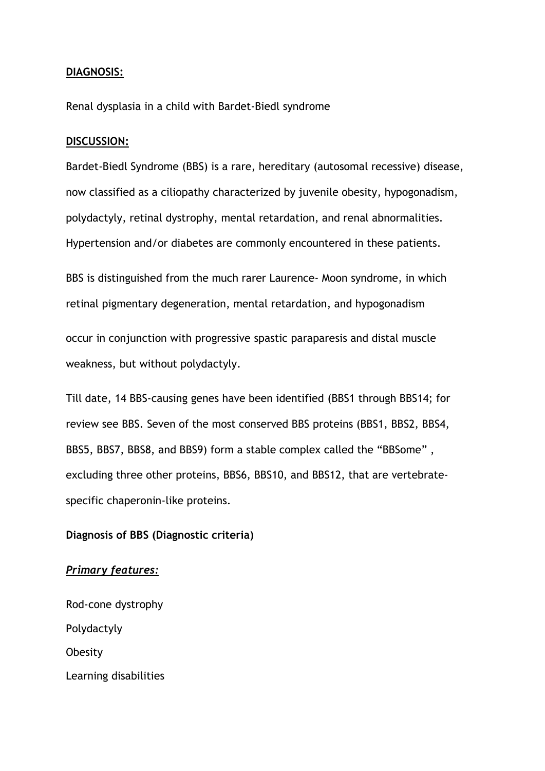#### **DIAGNOSIS:**

Renal dysplasia in a child with Bardet-Biedl syndrome

#### **DISCUSSION:**

Bardet-Biedl Syndrome (BBS) is a rare, hereditary (autosomal recessive) disease, now classified as a ciliopathy characterized by juvenile obesity, hypogonadism, polydactyly, retinal dystrophy, mental retardation, and renal abnormalities. Hypertension and/or diabetes are commonly encountered in these patients.

BBS is distinguished from the much rarer Laurence- Moon syndrome, in which retinal pigmentary degeneration, mental retardation, and hypogonadism

occur in conjunction with progressive spastic paraparesis and distal muscle weakness, but without polydactyly.

Till date, 14 BBS-causing genes have been identified (BBS1 through BBS14; for review see BBS. Seven of the most conserved BBS proteins (BBS1, BBS2, BBS4, BBS5, BBS7, BBS8, and BBS9) form a stable complex called the "BBSome" , excluding three other proteins, BBS6, BBS10, and BBS12, that are vertebratespecific chaperonin-like proteins.

#### **Diagnosis of BBS (Diagnostic criteria)**

#### *Primary features:*

Rod-cone dystrophy Polydactyly **Obesity** Learning disabilities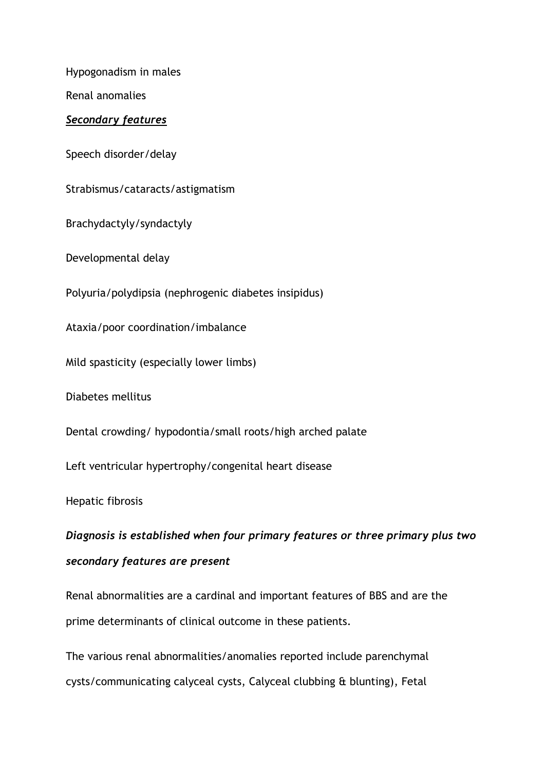Hypogonadism in males

Renal anomalies

### *Secondary features*

Speech disorder/delay

Strabismus/cataracts/astigmatism

Brachydactyly/syndactyly

Developmental delay

Polyuria/polydipsia (nephrogenic diabetes insipidus)

Ataxia/poor coordination/imbalance

Mild spasticity (especially lower limbs)

Diabetes mellitus

Dental crowding/ hypodontia/small roots/high arched palate

Left ventricular hypertrophy/congenital heart disease

Hepatic fibrosis

*Diagnosis is established when four primary features or three primary plus two secondary features are present*

Renal abnormalities are a cardinal and important features of BBS and are the prime determinants of clinical outcome in these patients.

The various renal abnormalities/anomalies reported include parenchymal cysts/communicating calyceal cysts, Calyceal clubbing & blunting), Fetal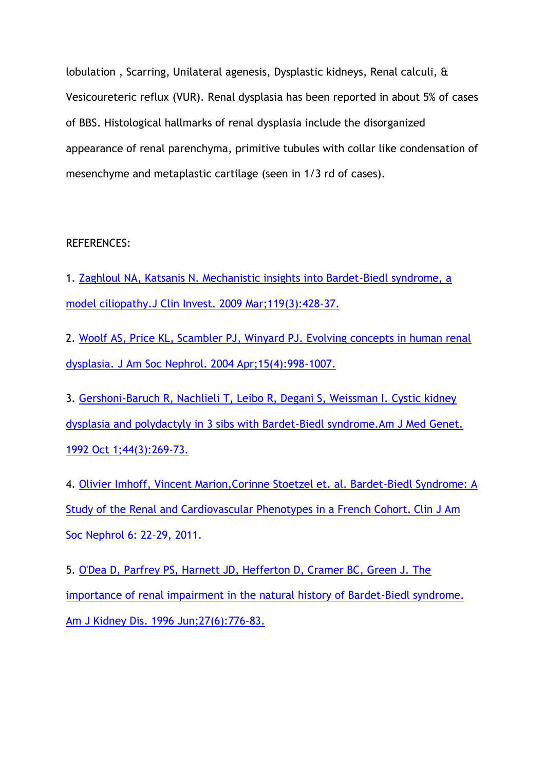lobulation , Scarring, Unilateral agenesis, Dysplastic kidneys, Renal calculi, & Vesicoureteric reflux (VUR). Renal dysplasia has been reported in about 5% of cases of BBS. Histological hallmarks of renal dysplasia include the disorganized appearance of renal parenchyma, primitive tubules with collar like condensation of mesenchyme and metaplastic cartilage (seen in 1/3 rd of cases).

### REFERENCES:

1. [Zaghloul NA, Katsanis N. Mechanistic insights into Bardet-Biedl syndrome, a](http://www.ncbi.nlm.nih.gov/pubmed/19252258)  [model ciliopathy.J Clin Invest. 2009 Mar;119\(3\):428-37.](http://www.ncbi.nlm.nih.gov/pubmed/19252258)

2. [Woolf AS, Price KL, Scambler PJ, Winyard PJ. Evolving concepts in human renal](http://www.ncbi.nlm.nih.gov/pubmed?term=J%20Am%20Soc%20Nephrol%2015%3A%20998%E2%80%931007%2C%202004)  [dysplasia. J Am Soc Nephrol. 2004 Apr;15\(4\):998-1007.](http://www.ncbi.nlm.nih.gov/pubmed?term=J%20Am%20Soc%20Nephrol%2015%3A%20998%E2%80%931007%2C%202004)

3. [Gershoni-Baruch R, Nachlieli T, Leibo R, Degani S, Weissman I. Cystic kidney](http://www.ncbi.nlm.nih.gov/pubmed/1488972)  [dysplasia and polydactyly in 3 sibs with Bardet-Biedl syndrome.Am J Med Genet.](http://www.ncbi.nlm.nih.gov/pubmed/1488972)  [1992 Oct 1;44\(3\):269-73.](http://www.ncbi.nlm.nih.gov/pubmed/1488972)

4. [Olivier Imhoff, Vincent Marion,Corinne Stoetzel et. al. Bardet-Biedl Syndrome: A](http://www.ncbi.nlm.nih.gov/pubmed/20876674)  [Study of the Renal and Cardiovascular Phenotypes in a French Cohort.](http://www.ncbi.nlm.nih.gov/pubmed/20876674) Clin J Am [Soc Nephrol 6: 22](http://www.ncbi.nlm.nih.gov/pubmed/20876674)–29, 2011.

5. [O'Dea D, Parfrey PS, Harnett JD, Hefferton D, Cramer BC, Green J. The](http://www.ncbi.nlm.nih.gov/pubmed/8651240)  [importance of renal impairment in the natural history of Bardet-Biedl syndrome.](http://www.ncbi.nlm.nih.gov/pubmed/8651240)  [Am J Kidney Dis. 1996 Jun;27\(6\):776-83.](http://www.ncbi.nlm.nih.gov/pubmed/8651240)